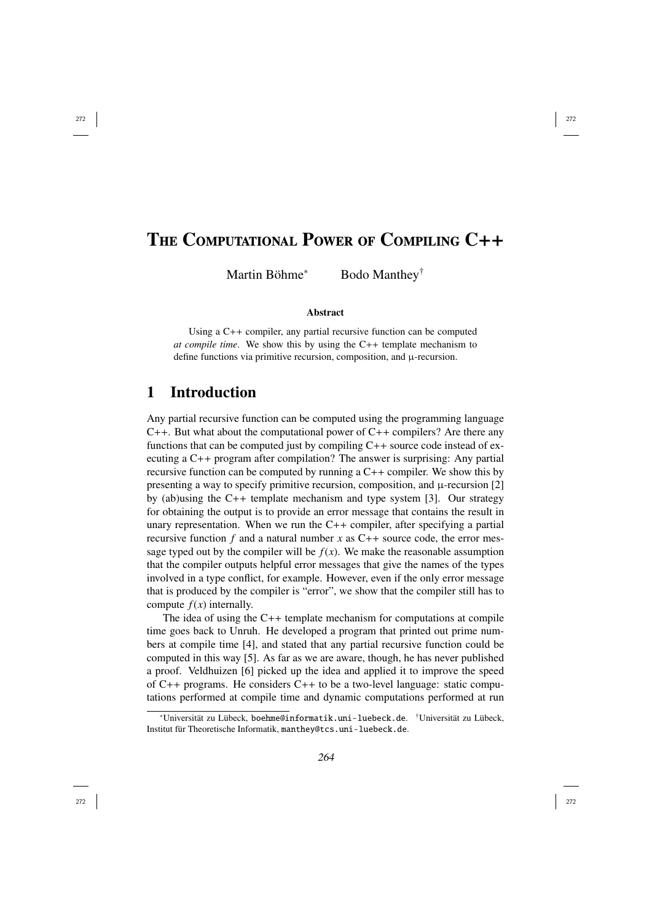# THE COMPUTATIONAL POWER OF COMPILING C++

Martin Böhme <sup>∗</sup> Bodo Manthey †

#### **Abstract**

Using a C++ compiler, any partial recursive function can be computed *at compile time*. We show this by using the C++ template mechanism to define functions via primitive recursion, composition, and µ-recursion.

## 1 Introduction

Any partial recursive function can be computed using the programming language  $C_{++}$ . But what about the computational power of  $C_{++}$  compilers? Are there any functions that can be computed just by compiling  $C++$  source code instead of executing a C++ program after compilation? The answer is surprising: Any partial recursive function can be computed by running a C++ compiler. We show this by presenting a way to specify primitive recursion, composition, and µ-recursion [2] by (ab)using the C++ template mechanism and type system [3]. Our strategy for obtaining the output is to provide an error message that contains the result in unary representation. When we run the C++ compiler, after specifying a partial recursive function  $f$  and a natural number  $x$  as  $C++$  source code, the error message typed out by the compiler will be  $f(x)$ . We make the reasonable assumption that the compiler outputs helpful error messages that give the names of the types involved in a type conflict, for example. However, even if the only error message that is produced by the compiler is "error", we show that the compiler still has to compute  $f(x)$  internally.

The idea of using the C++ template mechanism for computations at compile time goes back to Unruh. He developed a program that printed out prime numbers at compile time [4], and stated that any partial recursive function could be computed in this way [5]. As far as we are aware, though, he has never published a proof. Veldhuizen [6] picked up the idea and applied it to improve the speed of C++ programs. He considers C++ to be a two-level language: static computations performed at compile time and dynamic computations performed at run

<sup>∗</sup>Universität zu Lübeck, boehme@informatik.uni-luebeck.de. †Universität zu Lübeck, Institut für Theoretische Informatik, manthey@tcs.uni-luebeck.de .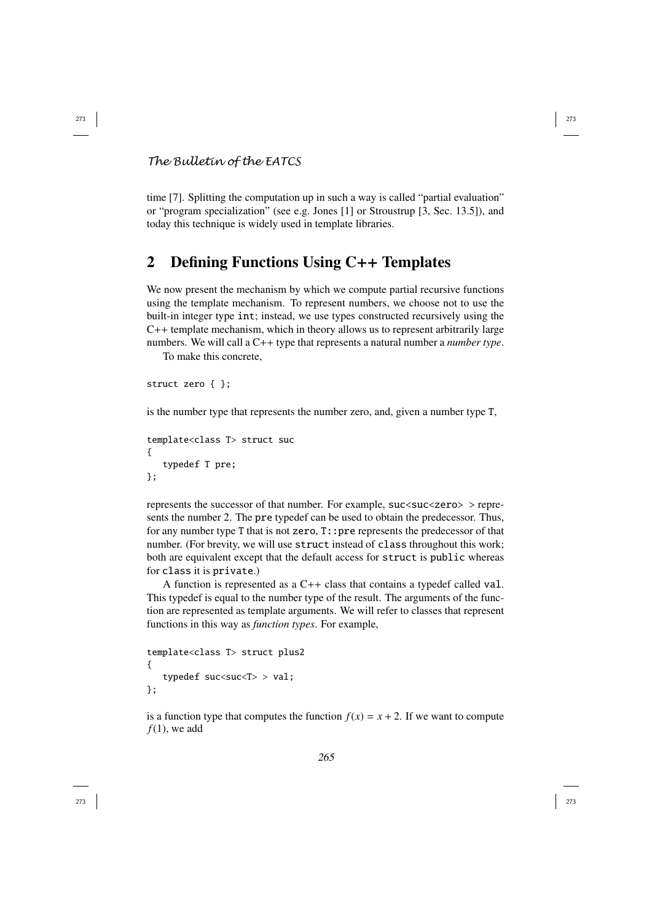## *The Bulletin of the EATCS*

time [7]. Splitting the computation up in such a way is called "partial evaluation" or "program specialization" (see e.g. Jones [1] or Stroustrup [3, Sec. 13.5]), and today this technique is widely used in template libraries.

## 2 Defining Functions Using C++ Templates

We now present the mechanism by which we compute partial recursive functions using the template mechanism. To represent numbers, we choose not to use the built-in integer type int; instead, we use types constructed recursively using the C++ template mechanism, which in theory allows us to represent arbitrarily large numbers. We will call a C++ type that represents a natural number a *number type*.

To make this concrete,

```
struct zero { };
```
is the number type that represents the number zero, and, given a number type T ,

```
template<class T> struct suc {
   typedef T pre;
};
```
represents the successor of that number. For example, suc<suc<zero> > represents the number 2. The pre typedef can be used to obtain the predecessor. Thus, for any number type T that is not zero , T::pre represents the predecessor of that number. (For brevity, we will use struct instead of class throughout this work; both are equivalent except that the default access for struct is public whereas for class it is private.)

A function is represented as a C++ class that contains a typedef called val . This typedef is equal to the number type of the result. The arguments of the function are represented as template arguments. We will refer to classes that represent functions in this way as *function types*. For example,

```
template<class T> struct plus2 {
   typedef suc<suc<T> > val;
};
```
is a function type that computes the function  $f(x) = x + 2$ . If we want to compute  $f(1)$ , we add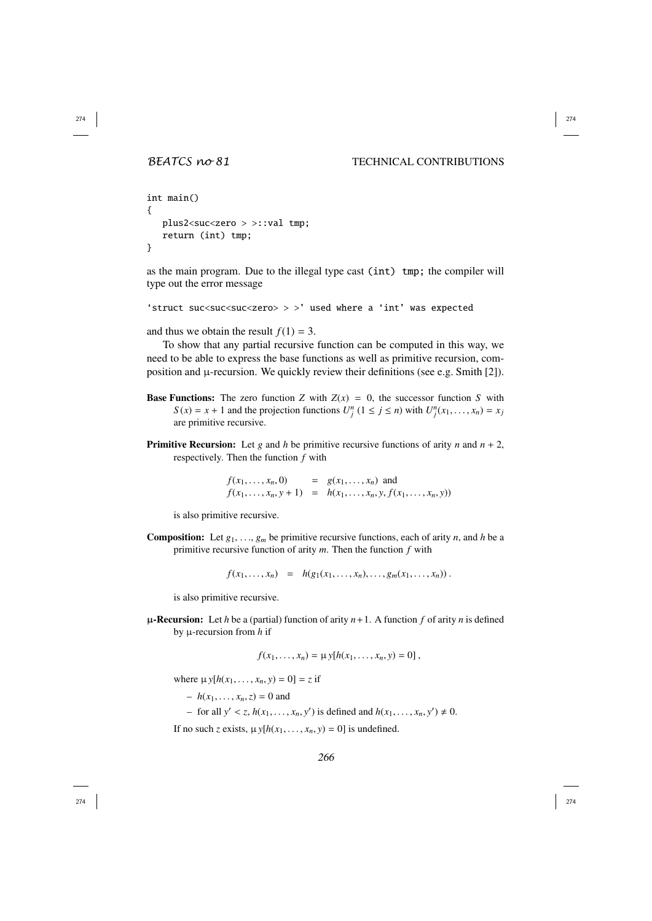#### *BEATCS no 81* TECHNICAL CONTRIBUTIONS

```
int main() {
   plus2<suc<zero > >::val tmp;
   return (int) tmp;
}
```
as the main program. Due to the illegal type cast (int) tmp; the compiler will type out the error message

```
'struct suc<suc<suc<zero> > >' used where a 'int' was expected
```
and thus we obtain the result  $f(1) = 3$ .

To show that any partial recursive function can be computed in this way, we need to be able to express the base functions as well as primitive recursion, composition and  $\mu$ -recursion. We quickly review their definitions (see e.g. Smith [2]).

- **Base Functions:** The zero function Z with  $Z(x) = 0$ , the successor function S with  $S(x) = x + 1$  and the projection functions  $U_j^n$   $(1 \le j \le n)$  with  $U_j^n$  $(x_1, \ldots, x_n) = x_j$ are primitive recursive.
- Primitive Recursion: Let g and h be primitive recursive functions of arity n and  $n + 2$ , respectively. Then the function *f* with

 $f(x_1, ..., x_n, 0) = g(x_1, ..., x_n)$  and<br>  $f(x_1, ..., x_n) + 1 = h(x_1, ..., x_n)$  *f*(  $f(x_1, ..., x_n, y + 1) = h(x_1, ..., x_n, y, f(x_1, ..., x_n, y))$ <br>  $f(x_1, ..., x_n, y + 1) = h(x_1, ..., x_n, y, f(x_1, ..., x_n, y))$ , , , ,

is also primitive recursive.

**Composition:** Let  $g_1, \ldots, g_m$  be primitive recursive functions, each of arity *n*, and *h* be a primitive recursive function of arity *m*. Then the function f with primitive recursive function of arity *m*. Then the function *f* with

 $f(x_1, \ldots, x_n) = h(g_1(x_1, \ldots, x_n), \ldots, g_m(x_1, \ldots, x_n))$ 

is also primitive recursive.

 $\mu$ -Recursion: Let *h* be a (partial) function of arity  $n+1$ . A function *f* of arity *n* is defined by µ-recursion from *h* if

$$
f(x_1,...,x_n) = \mu y[h(x_1,...,x_n,y) = 0],
$$

where  $\mu$  *y*[ $h(x_1, ..., x_n, y) = 0$ ] = *z* if ,

- $h(x_1, ..., x_n, z) = 0$  and
- *h*(*x*<sub>1</sub>, . . . . , *x<sub>n</sub>*, *y'*) is defined and  $h(x_1, ..., x_n, y') \neq 0$ .  $\ldots, \ldots, \ldots,$ ,

If no such *z* exists,  $\mu y[h(x_1, ..., x_n, y) = 0]$  is undefined. ,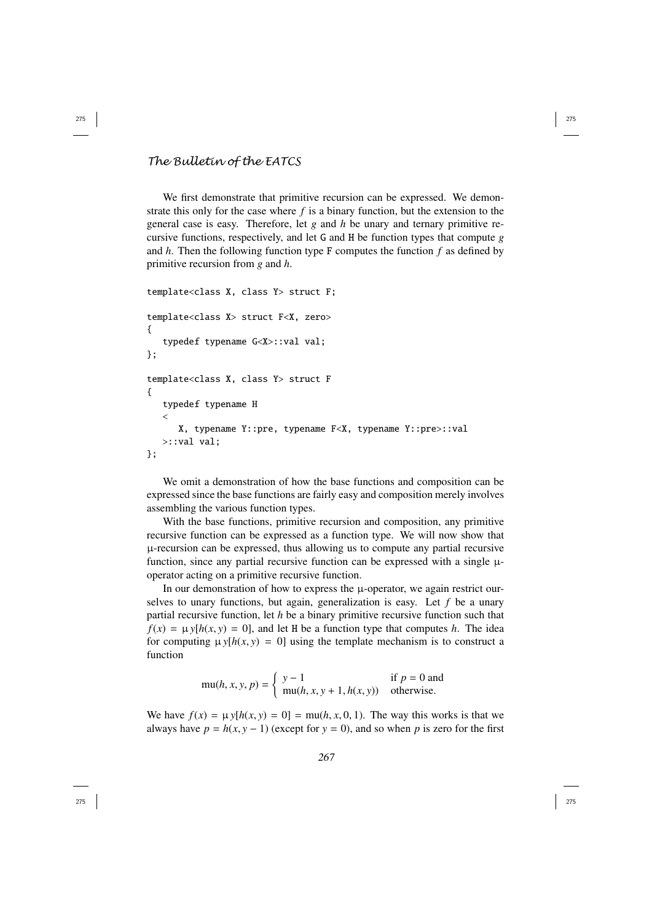### *The Bulletin of the EATCS*

We first demonstrate that primitive recursion can be expressed. We demonstrate this only for the case where  $f$  is a binary function, but the extension to the general case is easy. Therefore, let *g* and *h* be unary and ternary primitive recursive functions, respectively, and let G and H be function types that compute *g* and *h*. Then the following function type F computes the function *f* as defined by primitive recursion from *g* and *h* .

```
template<class X, class Y> struct F;
template<class X> struct F<X, zero> {
   typedef typename G<X>::val val;
};
template<class X, class Y> struct F {
   typedef typename H \epsilonX, typename Y::pre, typename F<X, typename Y::pre>::val
   >::val val;
};
```
We omit a demonstration of how the base functions and composition can be expressed since the base functions are fairly easy and composition merely involves assembling the various function types.

With the base functions, primitive recursion and composition, any primitive recursive function can be expressed as a function type. We will now show that µ-recursion can be expressed, thus allowing us to compute any partial recursive function, since any partial recursive function can be expressed with a single  $\mu$ operator acting on a primitive recursive function.

In our demonstration of how to express the  $\mu$ -operator, we again restrict ourselves to unary functions, but again, generalization is easy. Let *f* be a unary partial recursive function, let *h* be a binary primitive recursive function such that  $f(x) = \mu y[h(x, y) = 0]$ , and let H be a function type that computes h. The idea for computing  $\mu y[h(x, y) = 0]$  using the template mechanism is to construct a , function

$$
\text{mu}(h, x, y, p) = \begin{cases} y - 1 & \text{if } p = 0 \text{ and} \\ \text{mu}(h, x, y + 1, h(x, y)) & \text{otherwise.} \end{cases}
$$

We have  $f(x) = \mu y[h(x, y) = 0] = \mu u(h, x, 0, 1)$ . The way this works is that we always have  $n = h(x, y = 1)$  (except for  $y = 0$ ) and so when *n* is zero for the first always have  $p = h(x, y - 1)$  (except for  $y = 0$ ), and so when p is zero for the first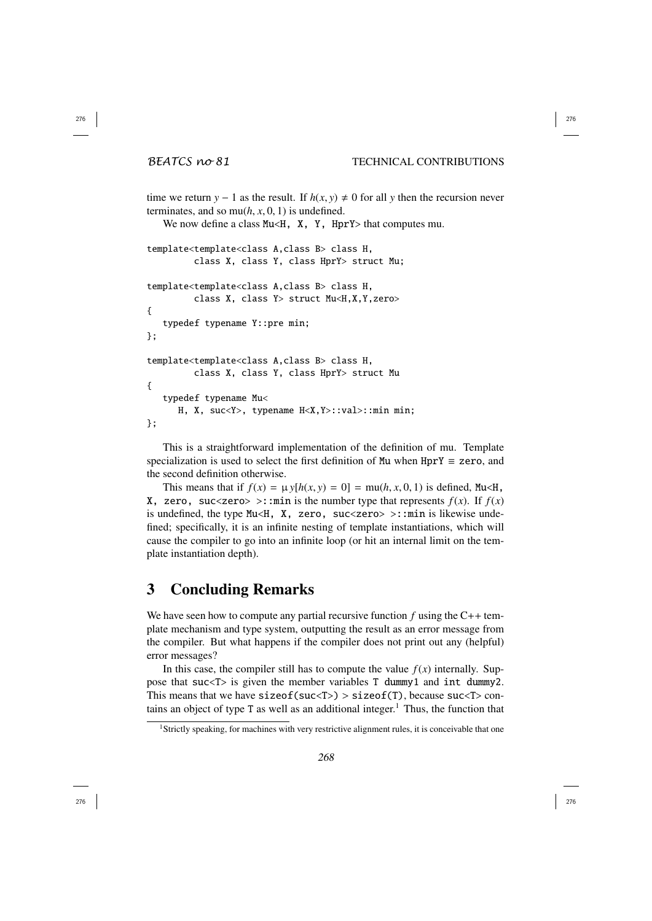time we return  $y - 1$  as the result. If  $h(x, y) \neq 0$  for all y then the recursion never terminates, and so mu( $h$ ,  $x$ , 0, 1) is undefined.<br>We now define a class Mu $\leq$  **x** x H<sub>D</sub>.

We now define a class Mu<H,  $\overline{X}$ ,  $\overline{Y}$ , HprY> that computes mu.

```
template<template<class A,class B> class H,
         class X, class Y, class HprY> struct Mu;
template<template<class A,class B> class H,
         class X, class Y> struct Mu<H,X,Y,zero>
{
   typedef typename Y::pre min;
};
template<template<class A,class B> class H,
         class X, class Y, class HprY> struct Mu
{
   typedef typename Mu<
      H, X, suc<Y>, typename H<X,Y>::val>::min min;
};
```
This is a straightforward implementation of the definition of mu. Template specialization is used to select the first definition of Mu when  $HprY \equiv zero$ , and the second definition otherwise.

This means that if  $f(x) = \mu y[h(x, y) = 0] = \text{mu}(h, x, 0, 1)$  is defined, Mu<H, zaro succzaros sumin is the number type that represents  $f(x)$ . If  $f(x)$  $X$ , zero, suc<zero> >::min is the number type that represents  $f(x)$ . If  $f(x)$ is undefined, the type Mu<H,  $X$ , zero, suc<zero> >:: min is likewise undefined; specifically, it is an infinite nesting of template instantiations, which will cause the compiler to go into an infinite loop (or hit an internal limit on the template instantiation depth).

## 3 Concluding Remarks

We have seen how to compute any partial recursive function  $f$  using the  $C++$  template mechanism and type system, outputting the result as an error message from the compiler. But what happens if the compiler does not print out any (helpful) error messages?

In this case, the compiler still has to compute the value  $f(x)$  internally. Suppose that suc<T> is given the member variables T dummy1 and int dummy2. This means that we have  $sizeof(suc < T) > sizeof(T)$ , because  $succT > conf($ tains an object of type T as well as an additional integer.<sup>1</sup> Thus, the function that

<sup>&</sup>lt;sup>1</sup>Strictly speaking, for machines with very restrictive alignment rules, it is conceivable that one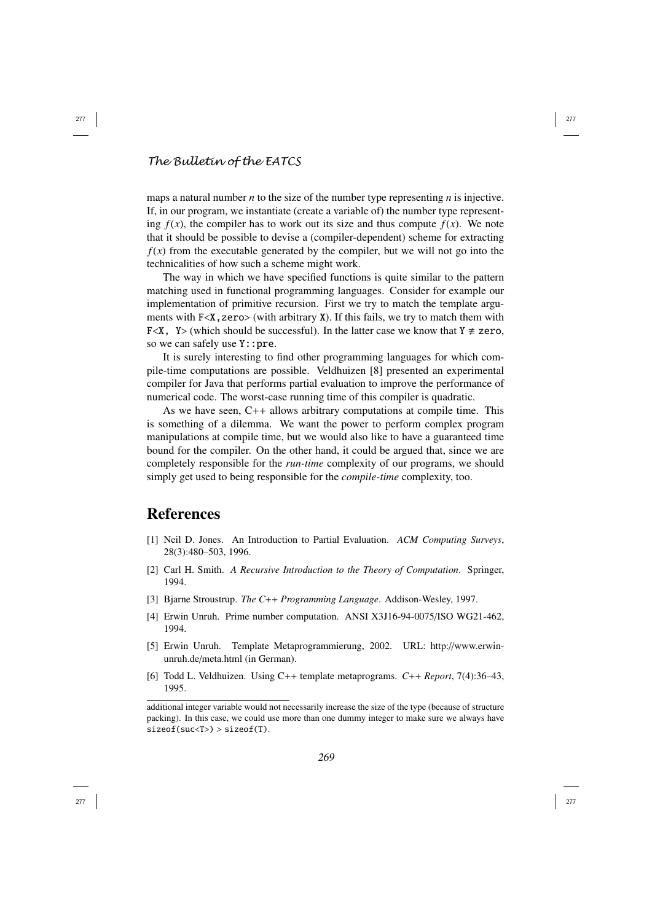#### *The Bulletin of the EATCS*

maps a natural number *n* to the size of the number type representing *n* is injective. If, in our program, we instantiate (create a variable of) the number type representing  $f(x)$ , the compiler has to work out its size and thus compute  $f(x)$ . We note that it should be possible to devise a (compiler-dependent) scheme for extracting  $f(x)$  from the executable generated by the compiler, but we will not go into the technicalities of how such a scheme might work.

The way in which we have specified functions is quite similar to the pattern matching used in functional programming languages. Consider for example our implementation of primitive recursion. First we try to match the template arguments with  $F < X$ , zero  $>$  (with arbitrary X). If this fails, we try to match them with F<X, Y> (which should be successful). In the latter case we know that  $Y \neq zero$ , so we can safely use Y::pre.

It is surely interesting to find other programming languages for which compile-time computations are possible. Veldhuizen [8] presented an experimental compiler for Java that performs partial evaluation to improve the performance of numerical code. The worst-case running time of this compiler is quadratic.

As we have seen, C++ allows arbitrary computations at compile time. This is something of a dilemma. We want the power to perform complex program manipulations at compile time, but we would also like to have a guaranteed time bound for the compiler. On the other hand, it could be argued that, since we are completely responsible for the *run-time* complexity of our programs, we should simply get used to being responsible for the *compile-time* complexity, too.

## References

- [1] Neil D. Jones. An Introduction to Partial Evaluation. *ACM Computing Surveys* , 28(3):480–503, 1996.
- [2] Carl H. Smith. *A Recursive Introduction to the Theory of Computation*. Springer, 1994.
- [3] Bjarne Stroustrup. *The C*++ *Programming Language*. Addison-Wesley, 1997.
- [4] Erwin Unruh. Prime number computation. ANSI X3J16-94-0075 /ISO WG21-462, 1994.
- [5] Erwin Unruh. Template Metaprogrammierung, 2002. URL: http://www.erwinunruh.de/meta.html (in German).
- [6] Todd L. Veldhuizen. Using C++ template metaprograms. *C*++ *Report*, 7(4):36–43, 1995.

additional integer variable would not necessarily increase the size of the type (because of structure packing). In this case, we could use more than one dummy integer to make sure we always have sizeof(suc<T>) > sizeof(T) .